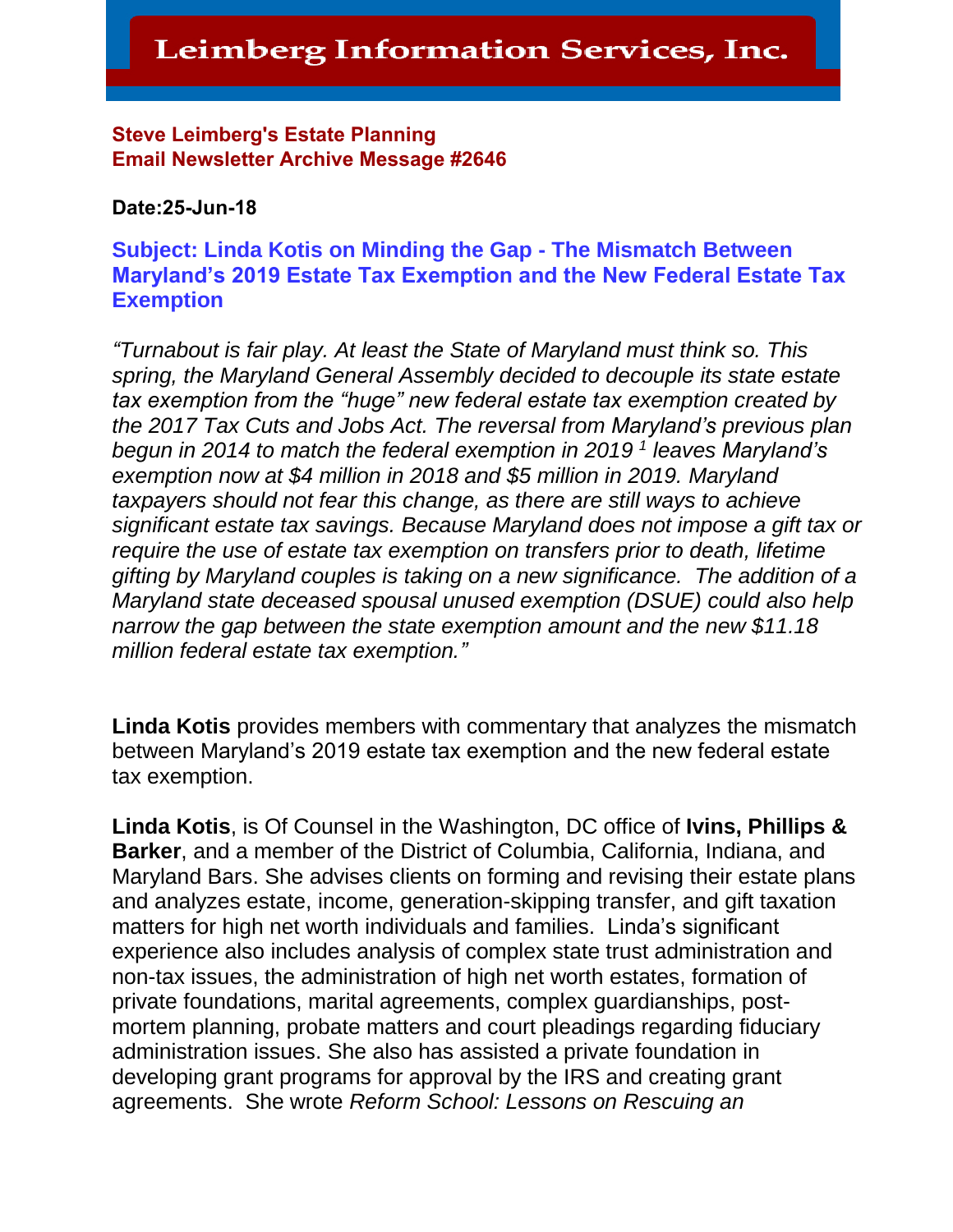#### Steve Leimberg's Estate Planning Email Newsletter Archive Message #2646

#### **Date:25-Jun-18**

#### **Subject: Linda Kotis on Minding the Gap - The Mismatch Between Maryland's 2019 Estate Tax Exemption and the New Federal Estate Tax Exemption**

*"Turnabout is fair play. At least the State of Maryland must think so. This spring, the Maryland General Assembly decided to decouple its state estate tax exemption from the "huge" new federal estate tax exemption created by the 2017 Tax Cuts and Jobs Act. The reversal from Maryland's previous plan begun in 2014 to match the federal exemption in 2019 <sup>1</sup> leaves Maryland's exemption now at \$4 million in 2018 and \$5 million in 2019. Maryland taxpayers should not fear this change, as there are still ways to achieve significant estate tax savings. Because Maryland does not impose a gift tax or require the use of estate tax exemption on transfers prior to death, lifetime gifting by Maryland couples is taking on a new significance. The addition of a Maryland state deceased spousal unused exemption (DSUE) could also help narrow the gap between the state exemption amount and the new \$11.18 million federal estate tax exemption."*

**Linda Kotis** provides members with commentary that analyzes the mismatch between Maryland's 2019 estate tax exemption and the new federal estate tax exemption.

**Linda Kotis**, is Of Counsel in the Washington, DC office of **Ivins, Phillips & Barker**, and a member of the District of Columbia, California, Indiana, and Maryland Bars. She advises clients on forming and revising their estate plans and analyzes estate, income, generation-skipping transfer, and gift taxation matters for high net worth individuals and families. Linda's significant experience also includes analysis of complex state trust administration and non-tax issues, the administration of high net worth estates, formation of private foundations, marital agreements, complex guardianships, postmortem planning, probate matters and court pleadings regarding fiduciary administration issues. She also has assisted a private foundation in developing grant programs for approval by the IRS and creating grant agreements. She wrote *Reform School: Lessons on Rescuing an*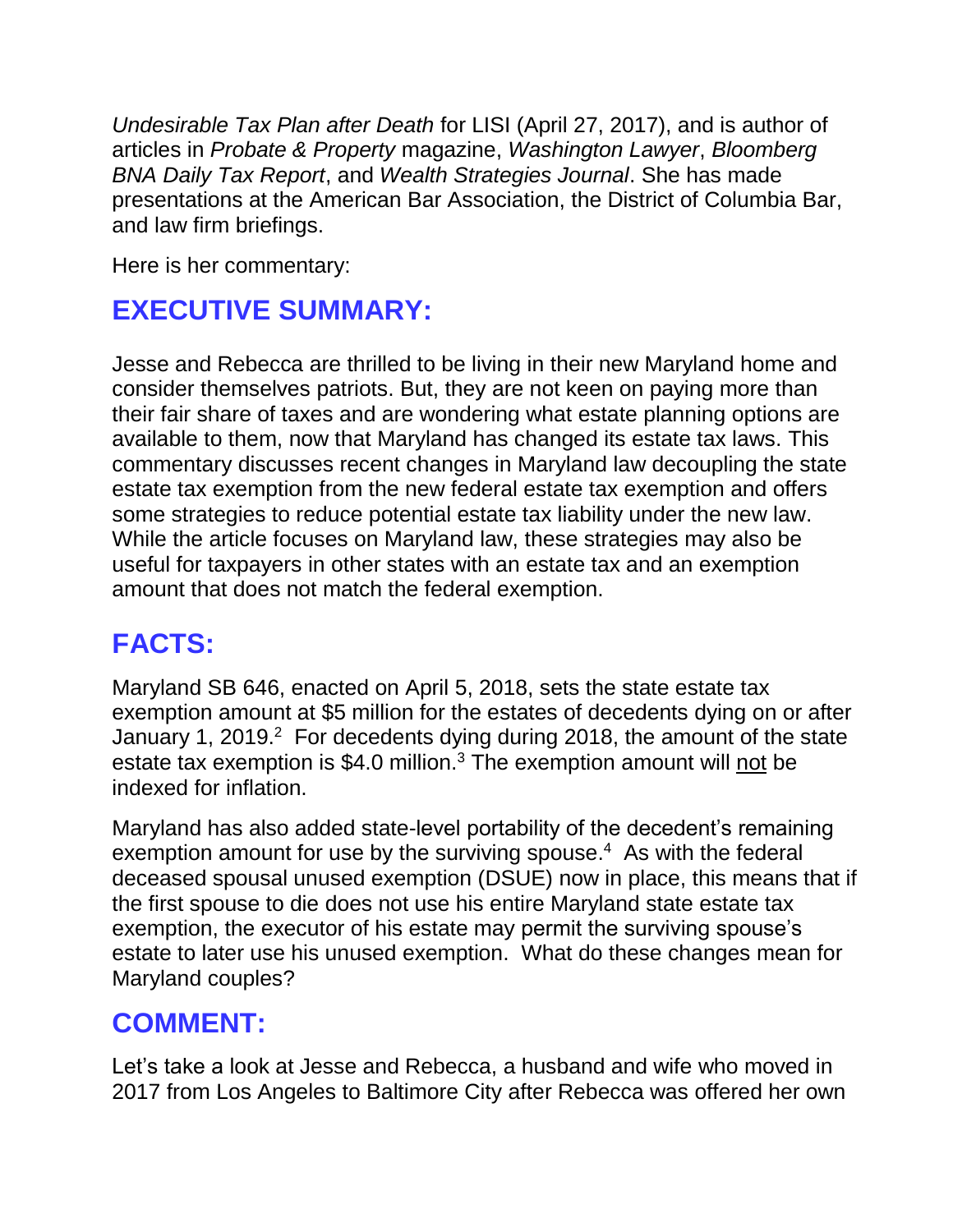*Undesirable Tax Plan after Death* for LISI (April 27, 2017), and is author of articles in *Probate & Property* magazine, *Washington Lawyer*, *Bloomberg BNA Daily Tax Report*, and *Wealth Strategies Journal*. She has made presentations at the American Bar Association, the District of Columbia Bar, and law firm briefings.

Here is her commentary:

# **EXECUTIVE SUMMARY:**

Jesse and Rebecca are thrilled to be living in their new Maryland home and consider themselves patriots. But, they are not keen on paying more than their fair share of taxes and are wondering what estate planning options are available to them, now that Maryland has changed its estate tax laws. This commentary discusses recent changes in Maryland law decoupling the state estate tax exemption from the new federal estate tax exemption and offers some strategies to reduce potential estate tax liability under the new law. While the article focuses on Maryland law, these strategies may also be useful for taxpayers in other states with an estate tax and an exemption amount that does not match the federal exemption.

# **FACTS:**

Maryland SB 646, enacted on April 5, 2018, sets the state estate tax exemption amount at \$5 million for the estates of decedents dying on or after January 1, 2019. $2$  For decedents dying during 2018, the amount of the state estate tax exemption is \$4.0 million.<sup>3</sup> The exemption amount will not be indexed for inflation.

Maryland has also added state-level portability of the decedent's remaining exemption amount for use by the surviving spouse. 4 As with the federal deceased spousal unused exemption (DSUE) now in place, this means that if the first spouse to die does not use his entire Maryland state estate tax exemption, the executor of his estate may permit the surviving spouse's estate to later use his unused exemption. What do these changes mean for Maryland couples?

## **COMMENT:**

Let's take a look at Jesse and Rebecca, a husband and wife who moved in 2017 from Los Angeles to Baltimore City after Rebecca was offered her own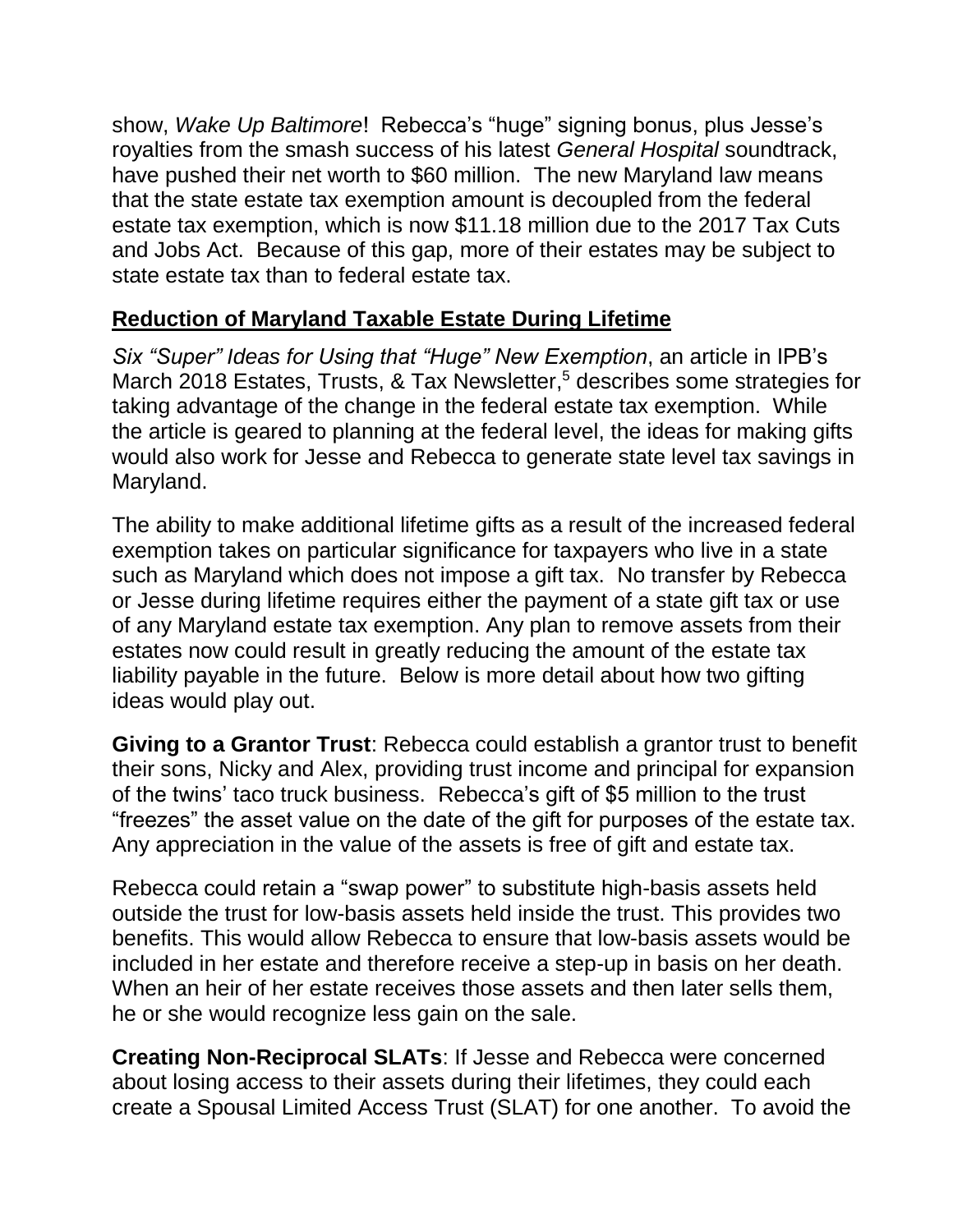show, *Wake Up Baltimore*! Rebecca's "huge" signing bonus, plus Jesse's royalties from the smash success of his latest *General Hospital* soundtrack, have pushed their net worth to \$60 million. The new Maryland law means that the state estate tax exemption amount is decoupled from the federal estate tax exemption, which is now \$11.18 million due to the 2017 Tax Cuts and Jobs Act. Because of this gap, more of their estates may be subject to state estate tax than to federal estate tax.

### **Reduction of Maryland Taxable Estate During Lifetime**

*Six "Super" Ideas for Using that "Huge" New Exemption*, an article in IPB's March 2018 Estates, Trusts, & Tax Newsletter, <sup>5</sup> describes some strategies for taking advantage of the change in the federal estate tax exemption. While the article is geared to planning at the federal level, the ideas for making gifts would also work for Jesse and Rebecca to generate state level tax savings in Maryland.

The ability to make additional lifetime gifts as a result of the increased federal exemption takes on particular significance for taxpayers who live in a state such as Maryland which does not impose a gift tax. No transfer by Rebecca or Jesse during lifetime requires either the payment of a state gift tax or use of any Maryland estate tax exemption. Any plan to remove assets from their estates now could result in greatly reducing the amount of the estate tax liability payable in the future. Below is more detail about how two gifting ideas would play out.

**Giving to a Grantor Trust**: Rebecca could establish a grantor trust to benefit their sons, Nicky and Alex, providing trust income and principal for expansion of the twins' taco truck business. Rebecca's gift of \$5 million to the trust "freezes" the asset value on the date of the gift for purposes of the estate tax. Any appreciation in the value of the assets is free of gift and estate tax.

Rebecca could retain a "swap power" to substitute high-basis assets held outside the trust for low-basis assets held inside the trust. This provides two benefits. This would allow Rebecca to ensure that low-basis assets would be included in her estate and therefore receive a step-up in basis on her death. When an heir of her estate receives those assets and then later sells them, he or she would recognize less gain on the sale.

**Creating Non-Reciprocal SLATs**: If Jesse and Rebecca were concerned about losing access to their assets during their lifetimes, they could each create a Spousal Limited Access Trust (SLAT) for one another. To avoid the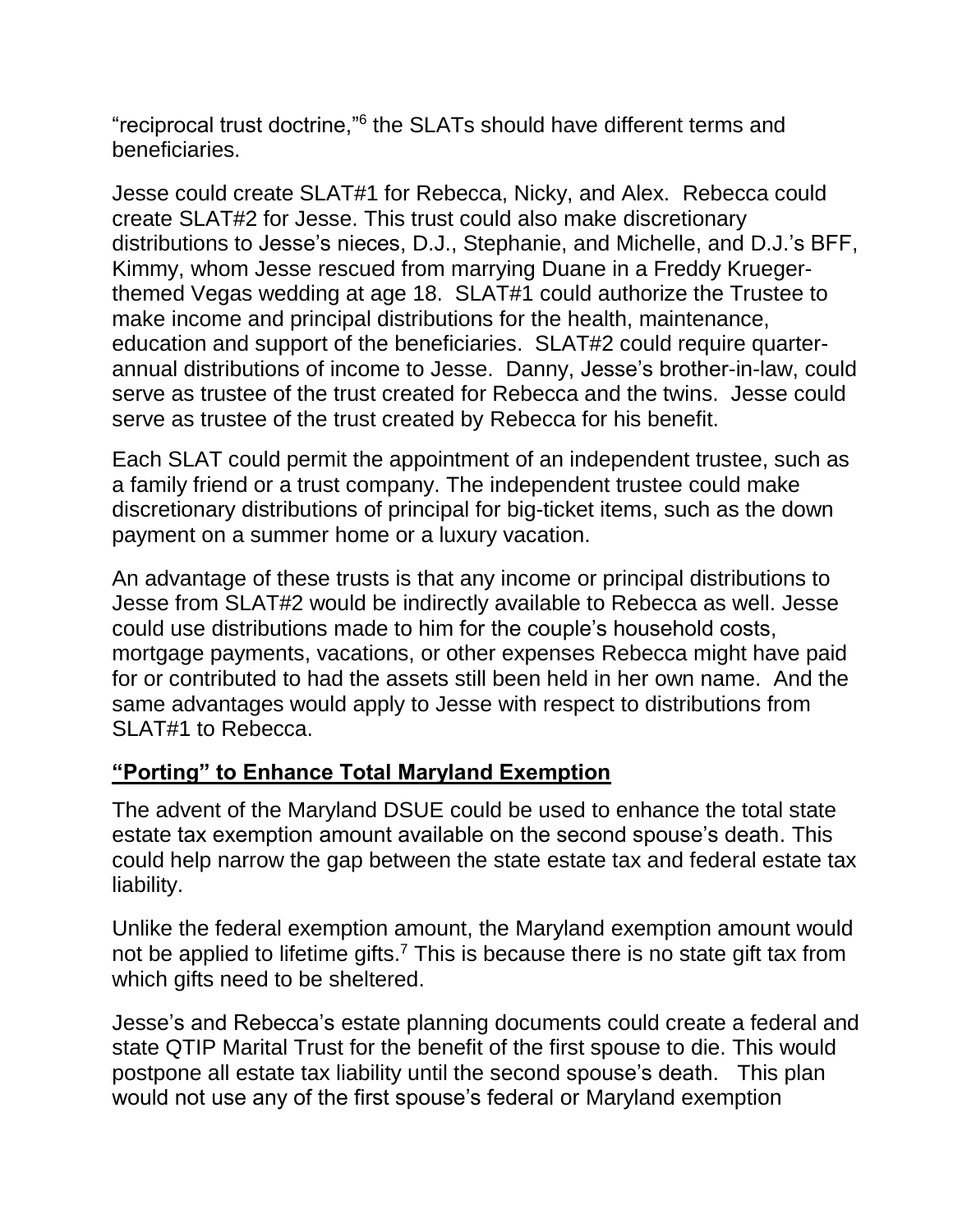"reciprocal trust doctrine,"<sup>6</sup> the SLATs should have different terms and beneficiaries.

Jesse could create SLAT#1 for Rebecca, Nicky, and Alex. Rebecca could create SLAT#2 for Jesse. This trust could also make discretionary distributions to Jesse's nieces, D.J., Stephanie, and Michelle, and D.J.'s BFF, Kimmy, whom Jesse rescued from marrying Duane in a Freddy Kruegerthemed Vegas wedding at age 18. SLAT#1 could authorize the Trustee to make income and principal distributions for the health, maintenance, education and support of the beneficiaries. SLAT#2 could require quarterannual distributions of income to Jesse. Danny, Jesse's brother-in-law, could serve as trustee of the trust created for Rebecca and the twins. Jesse could serve as trustee of the trust created by Rebecca for his benefit.

Each SLAT could permit the appointment of an independent trustee, such as a family friend or a trust company. The independent trustee could make discretionary distributions of principal for big-ticket items, such as the down payment on a summer home or a luxury vacation.

An advantage of these trusts is that any income or principal distributions to Jesse from SLAT#2 would be indirectly available to Rebecca as well. Jesse could use distributions made to him for the couple's household costs, mortgage payments, vacations, or other expenses Rebecca might have paid for or contributed to had the assets still been held in her own name. And the same advantages would apply to Jesse with respect to distributions from SLAT#1 to Rebecca.

### **"Porting" to Enhance Total Maryland Exemption**

The advent of the Maryland DSUE could be used to enhance the total state estate tax exemption amount available on the second spouse's death. This could help narrow the gap between the state estate tax and federal estate tax liability.

Unlike the federal exemption amount, the Maryland exemption amount would not be applied to lifetime gifts.<sup>7</sup> This is because there is no state gift tax from which gifts need to be sheltered.

Jesse's and Rebecca's estate planning documents could create a federal and state QTIP Marital Trust for the benefit of the first spouse to die. This would postpone all estate tax liability until the second spouse's death. This plan would not use any of the first spouse's federal or Maryland exemption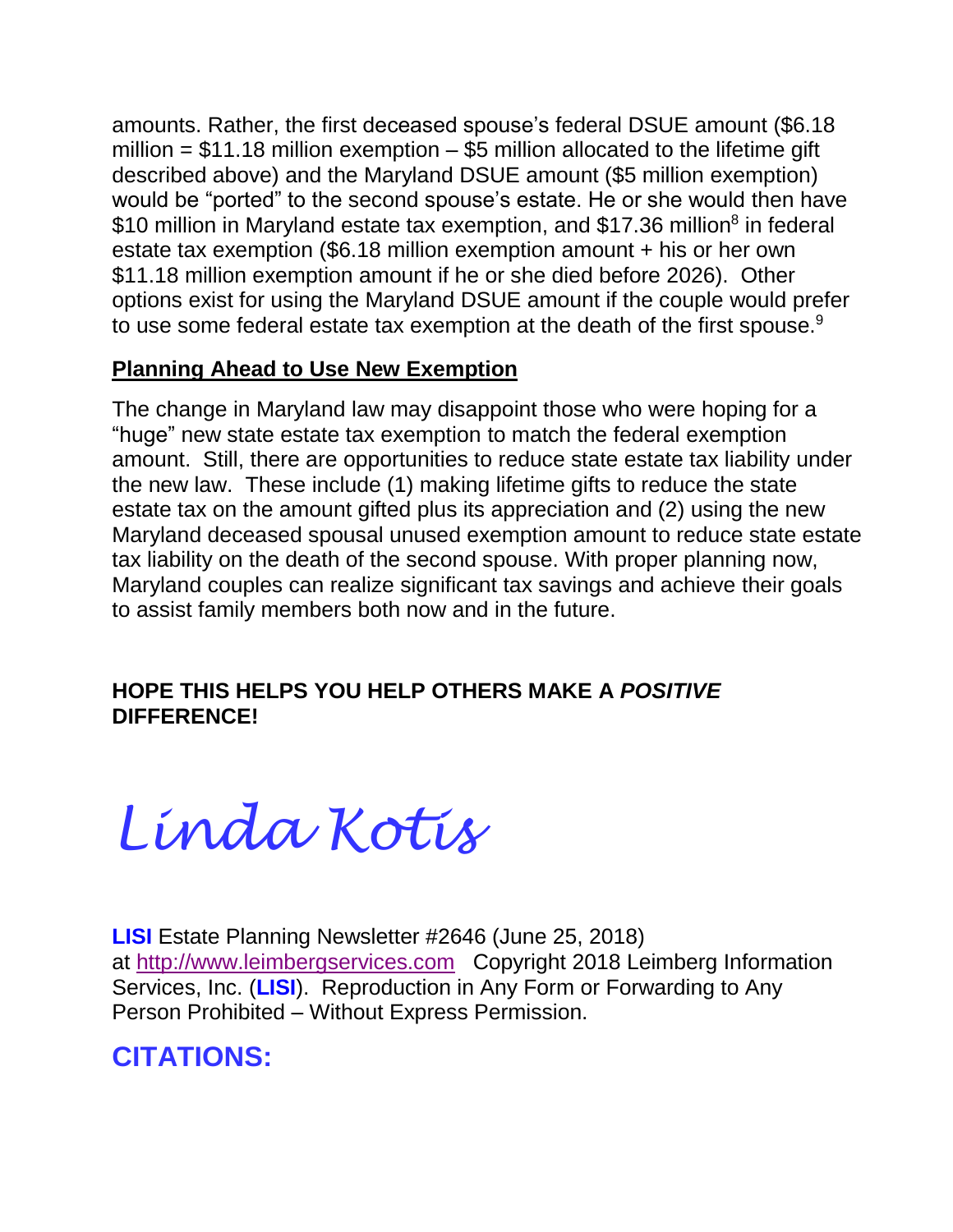amounts. Rather, the first deceased spouse's federal DSUE amount (\$6.18 million =  $$11.18$  million exemption  $-$  \$5 million allocated to the lifetime gift described above) and the Maryland DSUE amount (\$5 million exemption) would be "ported" to the second spouse's estate. He or she would then have \$10 million in Maryland estate tax exemption, and \$17.36 million<sup>8</sup> in federal estate tax exemption (\$6.18 million exemption amount + his or her own \$11.18 million exemption amount if he or she died before 2026). Other options exist for using the Maryland DSUE amount if the couple would prefer to use some federal estate tax exemption at the death of the first spouse.<sup>9</sup>

### **Planning Ahead to Use New Exemption**

The change in Maryland law may disappoint those who were hoping for a "huge" new state estate tax exemption to match the federal exemption amount. Still, there are opportunities to reduce state estate tax liability under the new law. These include (1) making lifetime gifts to reduce the state estate tax on the amount gifted plus its appreciation and (2) using the new Maryland deceased spousal unused exemption amount to reduce state estate tax liability on the death of the second spouse. With proper planning now, Maryland couples can realize significant tax savings and achieve their goals to assist family members both now and in the future.

### **HOPE THIS HELPS YOU HELP OTHERS MAKE A** *POSITIVE*  **DIFFERENCE!**

*Linda Kotis*

**LISI** Estate Planning Newsletter #2646 (June 25, 2018) at [http://www.leimbergservices.com](http://www.leimbergservices.com/) Copyright 2018 Leimberg Information Services, Inc. (**LISI**). Reproduction in Any Form or Forwarding to Any Person Prohibited – Without Express Permission.

## **CITATIONS:**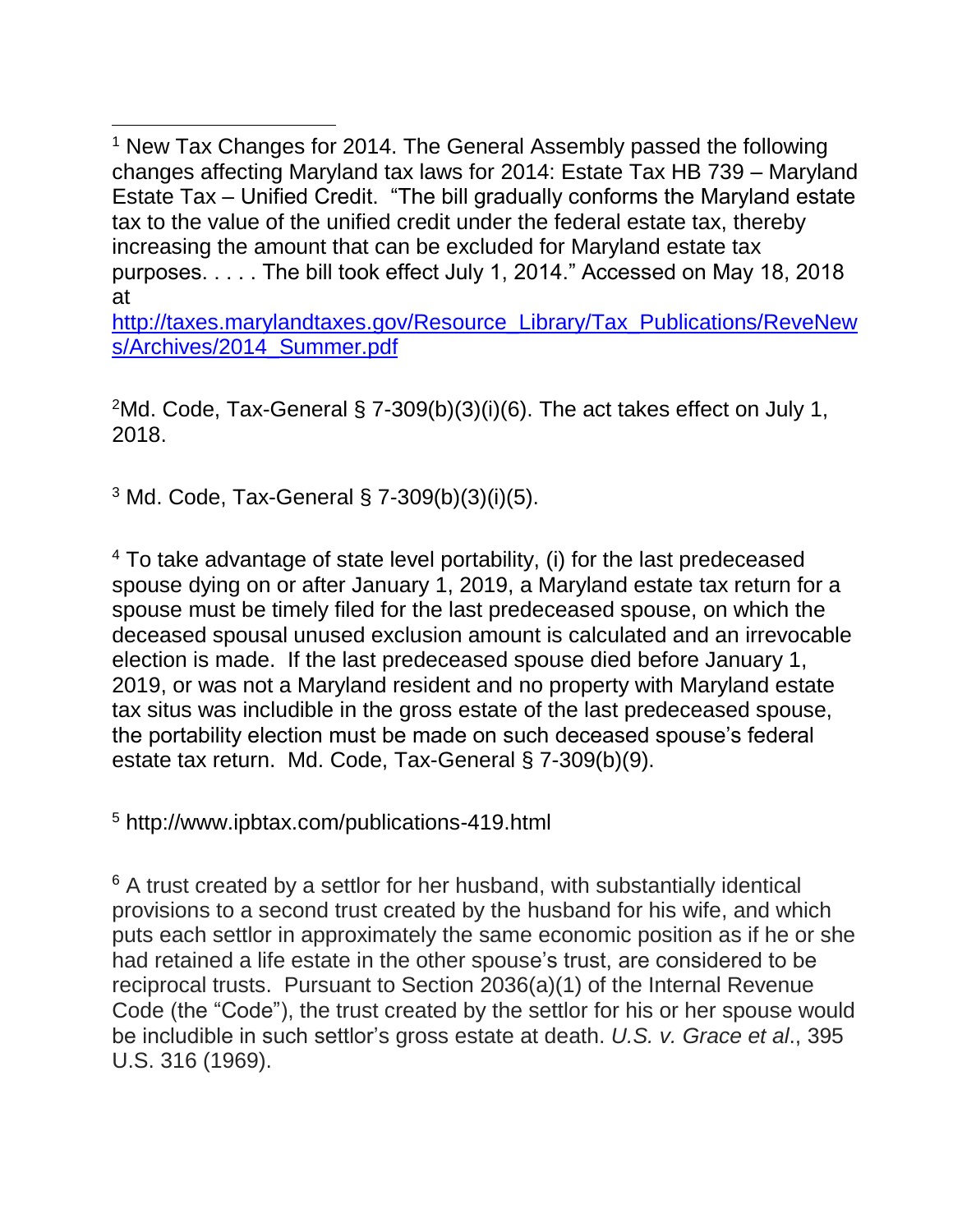<sup>1</sup> New Tax Changes for 2014. The General Assembly passed the following changes affecting Maryland tax laws for 2014: Estate Tax HB 739 – Maryland Estate Tax – Unified Credit. "The bill gradually conforms the Maryland estate tax to the value of the unified credit under the federal estate tax, thereby increasing the amount that can be excluded for Maryland estate tax purposes. . . . . The bill took effect July 1, 2014." Accessed on May 18, 2018 at

[http://taxes.marylandtaxes.gov/Resource\\_Library/Tax\\_Publications/ReveNew](http://taxes.marylandtaxes.gov/Resource_Library/Tax_Publications/ReveNews/Archives/2014_Summer.pdf) [s/Archives/2014\\_Summer.pdf](http://taxes.marylandtaxes.gov/Resource_Library/Tax_Publications/ReveNews/Archives/2014_Summer.pdf)

 $2$ Md. Code, Tax-General § 7-309(b)(3)(i)(6). The act takes effect on July 1, 2018.

<sup>3</sup> Md. Code, Tax-General § 7-309(b)(3)(i)(5).

 $\overline{\phantom{a}}$ 

<sup>4</sup> To take advantage of state level portability, (i) for the last predeceased spouse dying on or after January 1, 2019, a Maryland estate tax return for a spouse must be timely filed for the last predeceased spouse, on which the deceased spousal unused exclusion amount is calculated and an irrevocable election is made. If the last predeceased spouse died before January 1, 2019, or was not a Maryland resident and no property with Maryland estate tax situs was includible in the gross estate of the last predeceased spouse, the portability election must be made on such deceased spouse's federal estate tax return. Md. Code, Tax-General § 7-309(b)(9).

<sup>5</sup> http://www.ipbtax.com/publications-419.html

<sup>6</sup> A trust created by a settlor for her husband, with substantially identical provisions to a second trust created by the husband for his wife, and which puts each settlor in approximately the same economic position as if he or she had retained a life estate in the other spouse's trust, are considered to be reciprocal trusts. Pursuant to Section 2036(a)(1) of the Internal Revenue Code (the "Code"), the trust created by the settlor for his or her spouse would be includible in such settlor's gross estate at death. *U.S. v. Grace et al*., 395 U.S. 316 (1969).